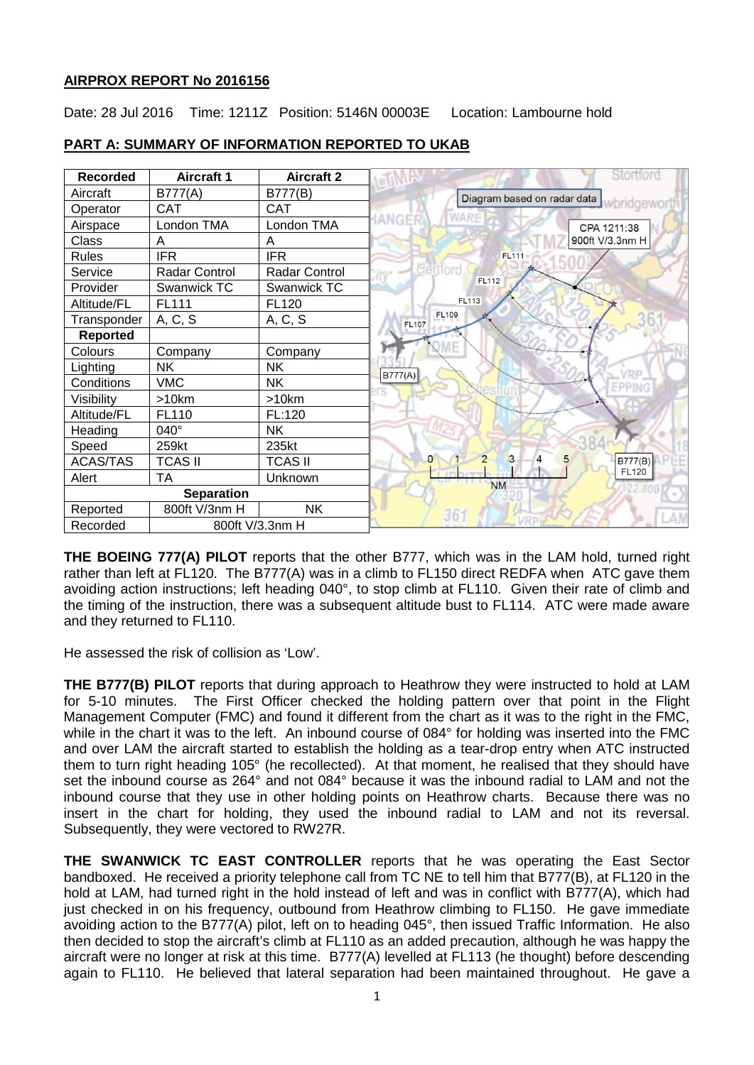### **AIRPROX REPORT No 2016156**

Date: 28 Jul 2016 Time: 1211Z Position: 5146N 00003E Location: Lambourne hold

| <b>Recorded</b>             | <b>Aircraft 1</b> | <b>Aircraft 2</b> | Stortfor                           |
|-----------------------------|-------------------|-------------------|------------------------------------|
| Aircraft                    | B777(A)           | B777(B)           | Diagram based on radar data        |
| Operator                    | <b>CAT</b>        | <b>CAT</b>        |                                    |
| Airspace                    | London TMA        | London TMA        | <b>HANGER</b><br>CPA 1211:38       |
| Class                       | A                 | A                 | 900ft V/3.3nm H                    |
| <b>Rules</b>                | <b>IFR</b>        | <b>IFR</b>        | <b>FL111</b>                       |
| Service                     | Radar Control     | Radar Control     | <b>FL112</b>                       |
| Provider                    | Swanwick TC       | Swanwick TC       |                                    |
| Altitude/FL                 | FL111             | FL120             | <b>FL113</b>                       |
| Transponder                 | A, C, S           | A, C, S           | <b>FL109</b><br>FL107              |
| <b>Reported</b>             |                   |                   |                                    |
| Colours                     | Company           | Company           |                                    |
| Lighting                    | <b>NK</b>         | <b>NK</b>         | B777(A)                            |
| Conditions                  | <b>VMC</b>        | <b>NK</b>         | FPPING                             |
| Visibility                  | >10km             | >10km             |                                    |
| Altitude/FL                 | FL110             | FL:120            |                                    |
| Heading                     | $040^\circ$       | <b>NK</b>         |                                    |
| Speed                       | 259kt             | 235kt             |                                    |
| <b>ACAS/TAS</b>             | <b>TCAS II</b>    | <b>TCAS II</b>    | 3<br>$\Omega$<br>5<br>4<br>B777(B) |
| Alert                       | <b>TA</b>         | Unknown           | <b>FL120</b><br><b>NM</b>          |
| <b>Separation</b>           |                   |                   |                                    |
| Reported                    | 800ft V/3nm H     | <b>NK</b>         | 36 <sup>°</sup>                    |
| Recorded<br>800ft V/3.3nm H |                   |                   |                                    |

## **PART A: SUMMARY OF INFORMATION REPORTED TO UKAB**

**THE BOEING 777(A) PILOT** reports that the other B777, which was in the LAM hold, turned right rather than left at FL120. The B777(A) was in a climb to FL150 direct REDFA when ATC gave them avoiding action instructions; left heading 040°, to stop climb at FL110. Given their rate of climb and the timing of the instruction, there was a subsequent altitude bust to FL114. ATC were made aware and they returned to FL110.

He assessed the risk of collision as 'Low'.

**THE B777(B) PILOT** reports that during approach to Heathrow they were instructed to hold at LAM for 5-10 minutes. The First Officer checked the holding pattern over that point in the Flight Management Computer (FMC) and found it different from the chart as it was to the right in the FMC, while in the chart it was to the left. An inbound course of 084° for holding was inserted into the FMC and over LAM the aircraft started to establish the holding as a tear-drop entry when ATC instructed them to turn right heading 105° (he recollected). At that moment, he realised that they should have set the inbound course as 264° and not 084° because it was the inbound radial to LAM and not the inbound course that they use in other holding points on Heathrow charts. Because there was no insert in the chart for holding, they used the inbound radial to LAM and not its reversal. Subsequently, they were vectored to RW27R.

**THE SWANWICK TC EAST CONTROLLER** reports that he was operating the East Sector bandboxed. He received a priority telephone call from TC NE to tell him that B777(B), at FL120 in the hold at LAM, had turned right in the hold instead of left and was in conflict with B777(A), which had just checked in on his frequency, outbound from Heathrow climbing to FL150. He gave immediate avoiding action to the B777(A) pilot, left on to heading 045°, then issued Traffic Information. He also then decided to stop the aircraft's climb at FL110 as an added precaution, although he was happy the aircraft were no longer at risk at this time. B777(A) levelled at FL113 (he thought) before descending again to FL110. He believed that lateral separation had been maintained throughout. He gave a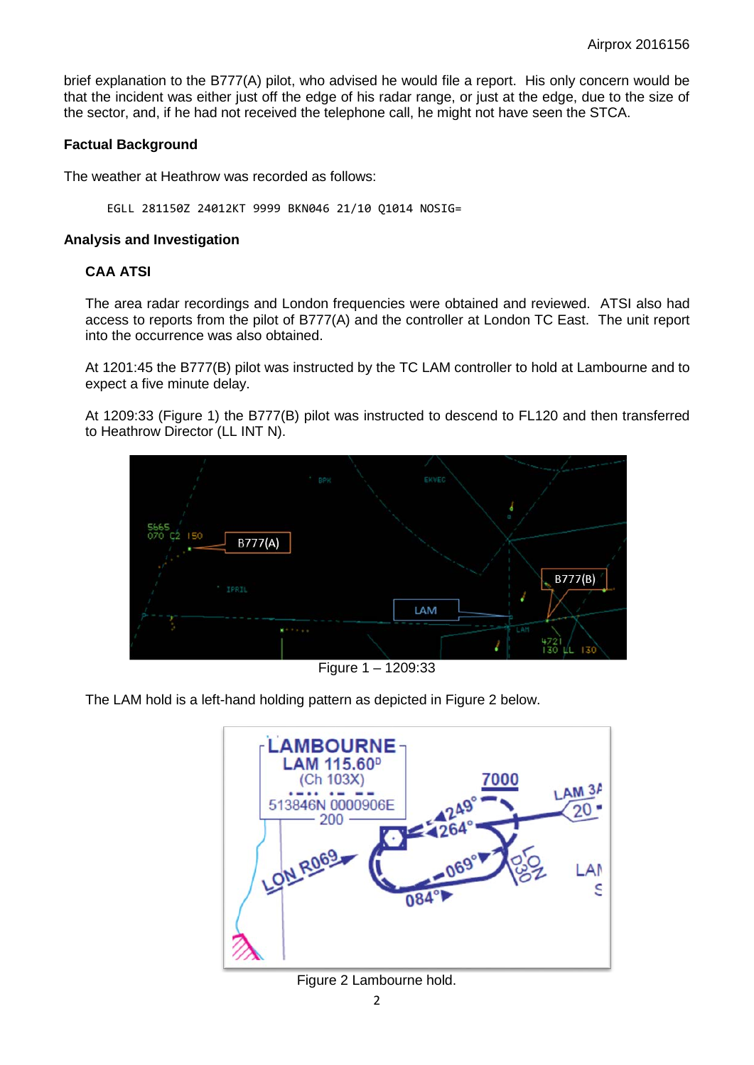brief explanation to the B777(A) pilot, who advised he would file a report. His only concern would be that the incident was either just off the edge of his radar range, or just at the edge, due to the size of the sector, and, if he had not received the telephone call, he might not have seen the STCA.

### **Factual Background**

The weather at Heathrow was recorded as follows:

EGLL 281150Z 24012KT 9999 BKN046 21/10 Q1014 NOSIG=

#### **Analysis and Investigation**

# **CAA ATSI**

The area radar recordings and London frequencies were obtained and reviewed. ATSI also had access to reports from the pilot of B777(A) and the controller at London TC East. The unit report into the occurrence was also obtained.

At 1201:45 the B777(B) pilot was instructed by the TC LAM controller to hold at Lambourne and to expect a five minute delay.

At 1209:33 (Figure 1) the B777(B) pilot was instructed to descend to FL120 and then transferred to Heathrow Director (LL INT N).



Figure 1 – 1209:33

The LAM hold is a left-hand holding pattern as depicted in Figure 2 below.



Figure 2 Lambourne hold.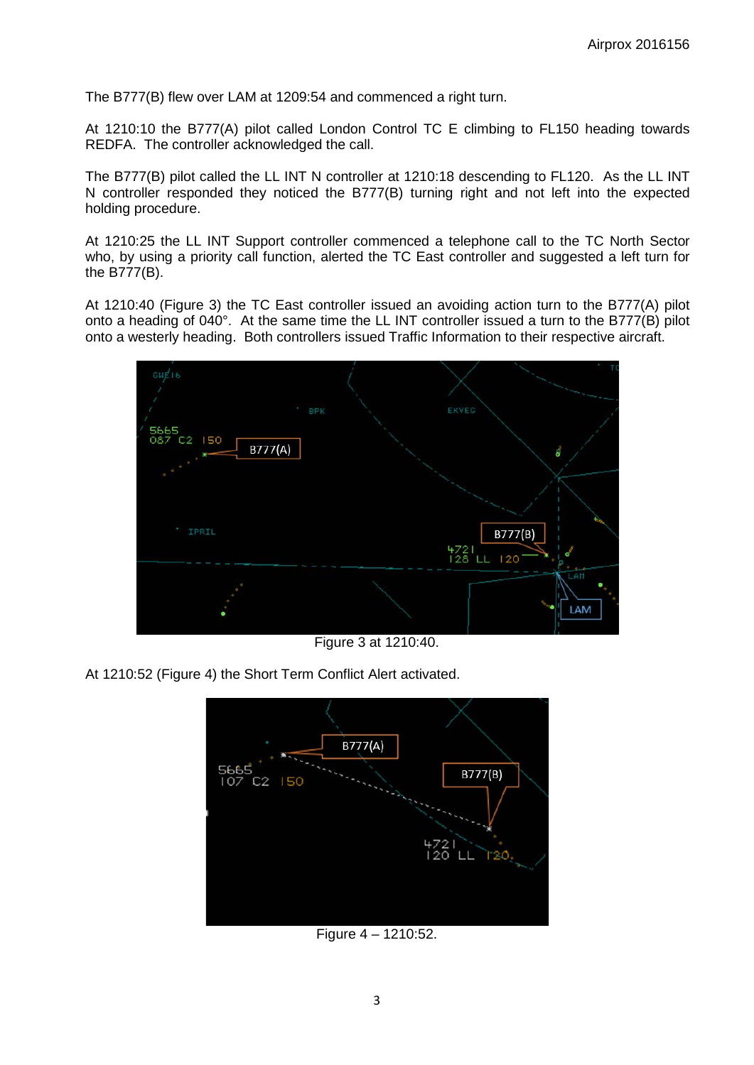The B777(B) flew over LAM at 1209:54 and commenced a right turn.

At 1210:10 the B777(A) pilot called London Control TC E climbing to FL150 heading towards REDFA. The controller acknowledged the call.

The B777(B) pilot called the LL INT N controller at 1210:18 descending to FL120. As the LL INT N controller responded they noticed the B777(B) turning right and not left into the expected holding procedure.

At 1210:25 the LL INT Support controller commenced a telephone call to the TC North Sector who, by using a priority call function, alerted the TC East controller and suggested a left turn for the B777(B).

At 1210:40 (Figure 3) the TC East controller issued an avoiding action turn to the B777(A) pilot onto a heading of 040°. At the same time the LL INT controller issued a turn to the B777(B) pilot onto a westerly heading. Both controllers issued Traffic Information to their respective aircraft.



Figure 3 at 1210:40.

At 1210:52 (Figure 4) the Short Term Conflict Alert activated.



Figure 4 – 1210:52.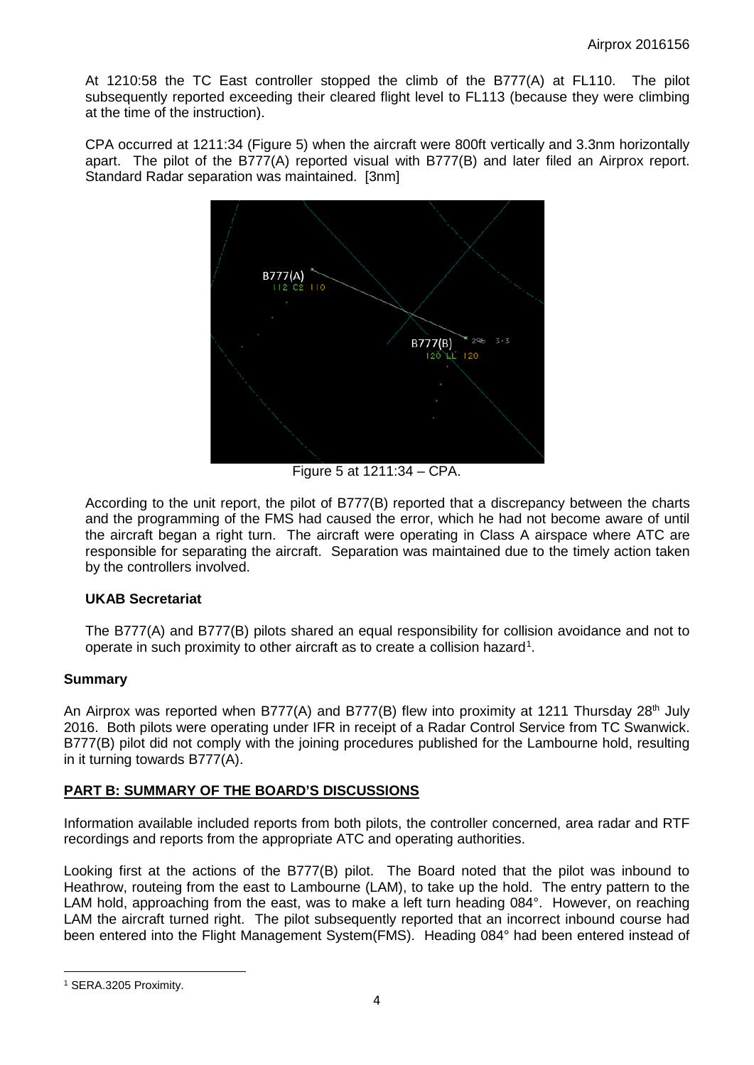At 1210:58 the TC East controller stopped the climb of the B777(A) at FL110. The pilot subsequently reported exceeding their cleared flight level to FL113 (because they were climbing at the time of the instruction).

CPA occurred at 1211:34 (Figure 5) when the aircraft were 800ft vertically and 3.3nm horizontally apart. The pilot of the B777(A) reported visual with B777(B) and later filed an Airprox report. Standard Radar separation was maintained. [3nm]



Figure 5 at 1211:34 – CPA.

According to the unit report, the pilot of B777(B) reported that a discrepancy between the charts and the programming of the FMS had caused the error, which he had not become aware of until the aircraft began a right turn. The aircraft were operating in Class A airspace where ATC are responsible for separating the aircraft. Separation was maintained due to the timely action taken by the controllers involved.

### **UKAB Secretariat**

The B777(A) and B777(B) pilots shared an equal responsibility for collision avoidance and not to operate in such proximity to other aircraft as to create a collision hazard<sup>[1](#page-3-0)</sup>.

### **Summary**

An Airprox was reported when B777(A) and B777(B) flew into proximity at 1211 Thursday 28<sup>th</sup> July 2016. Both pilots were operating under IFR in receipt of a Radar Control Service from TC Swanwick. B777(B) pilot did not comply with the joining procedures published for the Lambourne hold, resulting in it turning towards B777(A).

# **PART B: SUMMARY OF THE BOARD'S DISCUSSIONS**

Information available included reports from both pilots, the controller concerned, area radar and RTF recordings and reports from the appropriate ATC and operating authorities.

Looking first at the actions of the B777(B) pilot. The Board noted that the pilot was inbound to Heathrow, routeing from the east to Lambourne (LAM), to take up the hold. The entry pattern to the LAM hold, approaching from the east, was to make a left turn heading 084°. However, on reaching LAM the aircraft turned right. The pilot subsequently reported that an incorrect inbound course had been entered into the Flight Management System(FMS). Heading 084° had been entered instead of

<span id="page-3-0"></span> $\overline{\phantom{a}}$ <sup>1</sup> SERA.3205 Proximity.